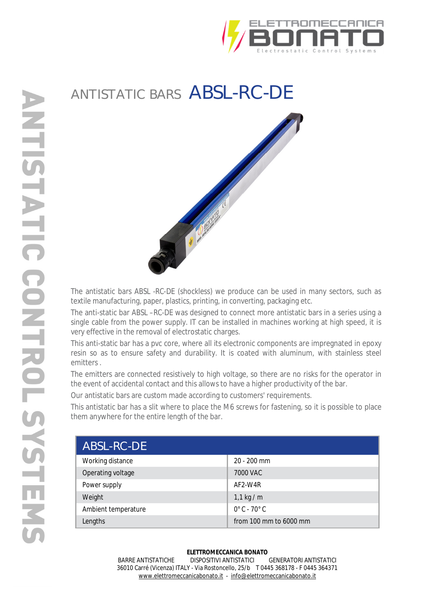

## ANTISTATIC BARS ABSL-RC-DE



The antistatic bars ABSL -RC-DE (shockless) we produce can be used in many sectors, such as textile manufacturing, paper, plastics, printing, in converting, packaging etc.

The anti-static bar ABSL –RC-DE was designed to connect more antistatic bars in a series using a single cable from the power supply. IT can be installed in machines working at high speed, it is very effective in the removal of electrostatic charges.

This anti-static bar has a pvc core, where all its electronic components are impregnated in epoxy resin so as to ensure safety and durability. It is coated with aluminum, with stainless steel emitters .

The emitters are connected resistively to high voltage, so there are no risks for the operator in the event of accidental contact and this allows to have a higher productivity of the bar.

Our antistatic bars are custom made according to customers' requirements.

This antistatic bar has a slit where to place the M6 screws for fastening, so it is possible to place them anywhere for the entire length of the bar.

| ABSL-RC-DE          |                             |
|---------------------|-----------------------------|
| Working distance    | $20 - 200$ mm               |
| Operating voltage   | 7000 VAC                    |
| Power supply        | AF2-W4R                     |
| Weight              | 1,1 kg / m                  |
| Ambient temperature | $0^\circ$ C - 70 $^\circ$ C |
| Lengths             | from 100 mm to $6000$ mm    |